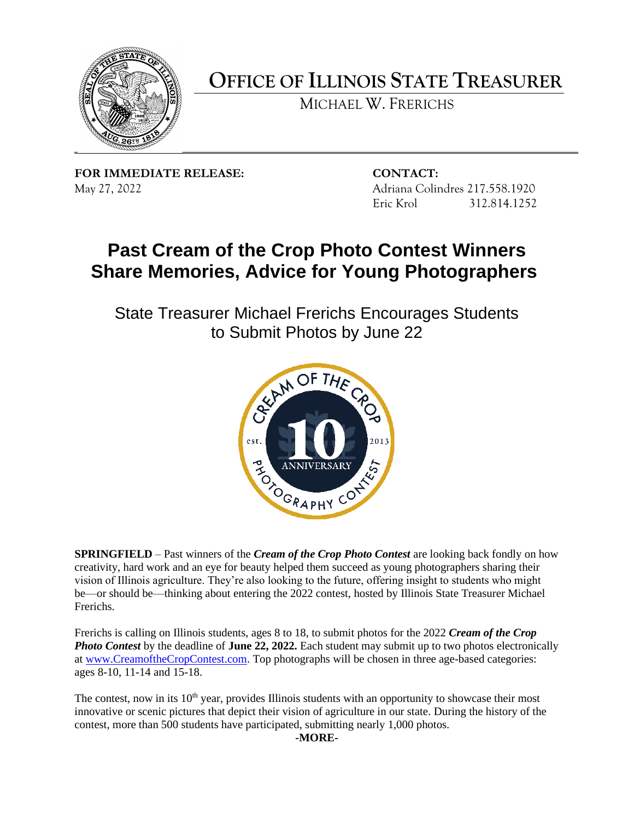

**OFFICE OF ILLINOIS STATE TREASURER**

MICHAEL W. FRERICHS

**FOR IMMEDIATE RELEASE: CONTACT:** May 27, 2022 Adriana Colindres 217.558.1920

Eric Krol 312.814.1252

## **Past Cream of the Crop Photo Contest Winners Share Memories, Advice for Young Photographers**

State Treasurer Michael Frerichs Encourages Students to Submit Photos by June 22



**SPRINGFIELD** – Past winners of the *Cream of the Crop Photo Contest* are looking back fondly on how creativity, hard work and an eye for beauty helped them succeed as young photographers sharing their vision of Illinois agriculture. They're also looking to the future, offering insight to students who might be—or should be—thinking about entering the 2022 contest, hosted by Illinois State Treasurer Michael Frerichs.

Frerichs is calling on Illinois students, ages 8 to 18, to submit photos for the 2022 *Cream of the Crop Photo Contest* by the deadline of **June 22, 2022.** Each student may submit up to two photos electronically at [www.CreamoftheCropContest.com.](http://www.creamofthecropcontest.com/) Top photographs will be chosen in three age-based categories: ages 8-10, 11-14 and 15-18.

The contest, now in its  $10<sup>th</sup>$  year, provides Illinois students with an opportunity to showcase their most innovative or scenic pictures that depict their vision of agriculture in our state. During the history of the contest, more than 500 students have participated, submitting nearly 1,000 photos.

**-MORE-**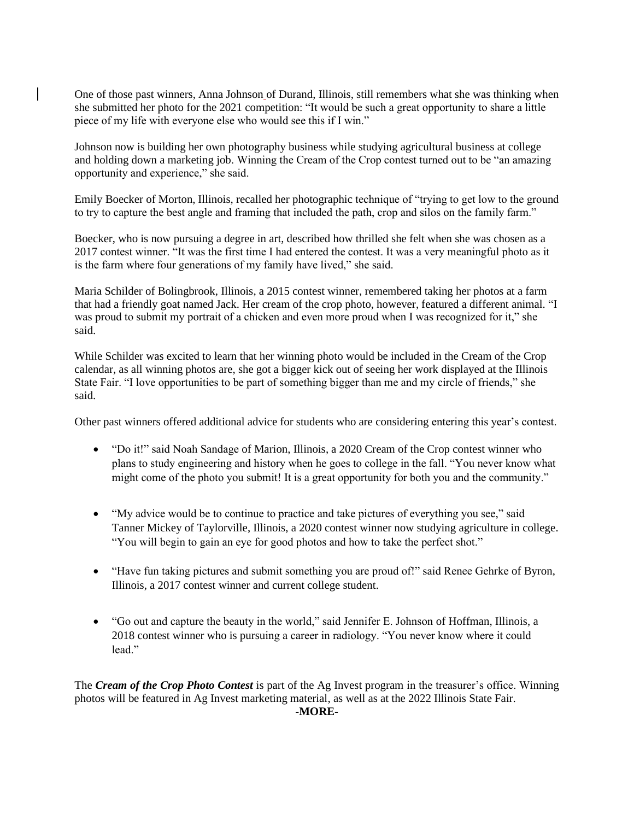One of those past winners, Anna Johnson of Durand, Illinois, still remembers what she was thinking when she submitted her photo for the 2021 competition: "It would be such a great opportunity to share a little piece of my life with everyone else who would see this if I win."

Johnson now is building her own photography business while studying agricultural business at college and holding down a marketing job. Winning the Cream of the Crop contest turned out to be "an amazing opportunity and experience," she said.

Emily Boecker of Morton, Illinois, recalled her photographic technique of "trying to get low to the ground to try to capture the best angle and framing that included the path, crop and silos on the family farm."

Boecker, who is now pursuing a degree in art, described how thrilled she felt when she was chosen as a 2017 contest winner. "It was the first time I had entered the contest. It was a very meaningful photo as it is the farm where four generations of my family have lived," she said.

Maria Schilder of Bolingbrook, Illinois, a 2015 contest winner, remembered taking her photos at a farm that had a friendly goat named Jack. Her cream of the crop photo, however, featured a different animal. "I was proud to submit my portrait of a chicken and even more proud when I was recognized for it," she said.

While Schilder was excited to learn that her winning photo would be included in the Cream of the Crop calendar, as all winning photos are, she got a bigger kick out of seeing her work displayed at the Illinois State Fair. "I love opportunities to be part of something bigger than me and my circle of friends," she said.

Other past winners offered additional advice for students who are considering entering this year's contest.

- "Do it!" said Noah Sandage of Marion, Illinois, a 2020 Cream of the Crop contest winner who plans to study engineering and history when he goes to college in the fall. "You never know what might come of the photo you submit! It is a great opportunity for both you and the community."
- "My advice would be to continue to practice and take pictures of everything you see," said Tanner Mickey of Taylorville, Illinois, a 2020 contest winner now studying agriculture in college. "You will begin to gain an eye for good photos and how to take the perfect shot."
- "Have fun taking pictures and submit something you are proud of!" said Renee Gehrke of Byron, Illinois, a 2017 contest winner and current college student.
- "Go out and capture the beauty in the world," said Jennifer E. Johnson of Hoffman, Illinois, a 2018 contest winner who is pursuing a career in radiology. "You never know where it could lead."

The *Cream of the Crop Photo Contest* is part of the Ag Invest program in the treasurer's office. Winning photos will be featured in Ag Invest marketing material, as well as at the 2022 Illinois State Fair. **-MORE-**